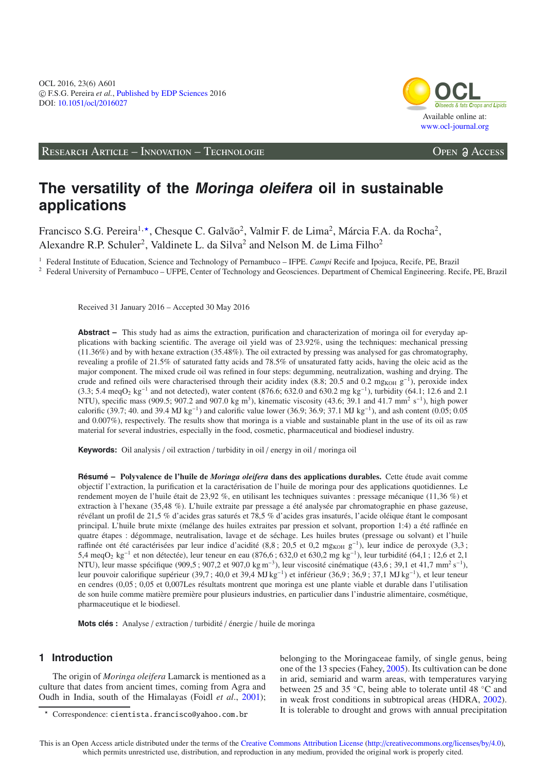

RESEARCH ARTICLE – INNOVATION – TECHNOLOGIE **OPEN ACCESS** 

# **The versatility of the Moringa oleifera oil in sustainable applications**

Francisco S.G. Pereira<sup>1,\*</sup>, Chesque C. Galvão<sup>2</sup>, Valmir F. de Lima<sup>2</sup>, Márcia F.A. da Rocha<sup>2</sup>, Alexandre R.P. Schuler<sup>2</sup>, Valdinete L. da Silva<sup>2</sup> and Nelson M. de Lima Filho<sup>2</sup>

<sup>1</sup> Federal Institute of Education, Science and Technology of Pernambuco – IFPE. *Campi* Recife and Ipojuca, Recife, PE, Brazil

<sup>2</sup> Federal University of Pernambuco – UFPE, Center of Technology and Geosciences. Department of Chemical Engineering. Recife, PE, Brazil

Received 31 January 2016 – Accepted 30 May 2016

**Abstract –** This study had as aims the extraction, purification and characterization of moringa oil for everyday applications with backing scientific. The average oil yield was of 23.92%, using the techniques: mechanical pressing (11.36%) and by with hexane extraction (35.48%). The oil extracted by pressing was analysed for gas chromatography, revealing a profile of 21.5% of saturated fatty acids and 78.5% of unsaturated fatty acids, having the oleic acid as the major component. The mixed crude oil was refined in four steps: degumming, neutralization, washing and drying. The crude and refined oils were characterised through their acidity index (8.8; 20.5 and 0.2 mg<sub>KOH</sub>  $g^{-1}$ ), peroxide index (3.3; 5.4 meqO<sub>2</sub> kg<sup>-1</sup> and not detected), water content (876.6; 632.0 and 630.2 mg kg<sup>-1</sup>), turbidity (64.1; 12.6 and 2.1 NTU), specific mass (909.5; 907.2 and 907.0 kg m<sup>3</sup>), kinematic viscosity (43.6; 39.1 and 41.7 mm<sup>2</sup> s<sup>-1</sup>), high power calorific (39.7; 40. and 39.4 MJ kg<sup>-1</sup>) and calorific value lower (36.9; 36.9; 37.1 MJ kg<sup>-1</sup>), and ash content (0.05; 0.05 and 0.007%), respectively. The results show that moringa is a viable and sustainable plant in the use of its oil as raw material for several industries, especially in the food, cosmetic, pharmaceutical and biodiesel industry.

**Keywords:** Oil analysis / oil extraction / turbidity in oil / energy in oil / moringa oil

**Résumé – Polyvalence de l'huile de** *Moringa oleifera* **dans des applications durables.** Cette étude avait comme objectif l'extraction, la purification et la caractérisation de l'huile de moringa pour des applications quotidiennes. Le rendement moyen de l'huile était de 23,92 %, en utilisant les techniques suivantes : pressage mécanique (11,36 %) et extraction à l'hexane (35,48 %). L'huile extraite par pressage a été analysée par chromatographie en phase gazeuse, révélant un profil de 21,5 % d'acides gras saturés et 78,5 % d'acides gras insaturés, l'acide oléique étant le composant principal. L'huile brute mixte (mélange des huiles extraites par pression et solvant, proportion 1:4) a été raffinée en quatre étapes : dégommage, neutralisation, lavage et de séchage. Les huiles brutes (pressage ou solvant) et l'huile raffinée ont été caractérisées par leur indice d'acidité (8,8; 20,5 et 0,2 mg<sub>KOH g</sub><sup>−1</sup>), leur indice de peroxyde (3,3; 5,4 meqO<sub>2</sub> kg<sup>-1</sup> et non détectée), leur teneur en eau (876,6 ; 632,0 et 630,2 mg kg<sup>-1</sup>), leur turbidité (64,1 ; 12,6 et 2,1 NTU), leur masse spécifique (909,5 ; 907,2 et 907,0 kg m−3), leur viscosité cinématique (43,6 ; 39,1 et 41,7 mm2 s−1), leur pouvoir calorifique supérieur (39,7 ; 40,0 et 39,4 MJ kg−1) et inférieur (36,9 ; 36,9 ; 37,1 MJ kg−1), et leur teneur en cendres (0,05 ; 0,05 et 0,007Les résultats montrent que moringa est une plante viable et durable dans l'utilisation de son huile comme matière première pour plusieurs industries, en particulier dans l'industrie alimentaire, cosmétique, pharmaceutique et le biodiesel.

**Mots clés :** Analyse / extraction / turbidité / énergie / huile de moringa

# **1 Introduction**

The origin of *Moringa oleifera* Lamarck is mentioned as a culture that dates from ancient times, coming from Agra and Oudh in India, south of the Himalayas (Foidl *et al*., [2001\)](#page-6-0); belonging to the Moringaceae family, of single genus, being one of the 13 species (Fahey, [2005\)](#page-5-0). Its cultivation can be done in arid, semiarid and warm areas, with temperatures varying between 25 and 35 ◦C, being able to tolerate until 48 ◦C and in weak frost conditions in subtropical areas (HDRA, [2002\)](#page-6-1). It is tolerable to drought and grows with annual precipitation

<sup>-</sup> Correspondence: cientista.francisco@yahoo.com.br

This is an Open Access article distributed under the terms of the [Creative Commons Attribution License](http://creativecommons.org/licenses/by/4.0/) (http://[creativecommons.org](http://creativecommons.org/licenses/by/4.0)/licenses/by/4.0), which permits unrestricted use, distribution, and reproduction in any medium, provided the original work is properly cited.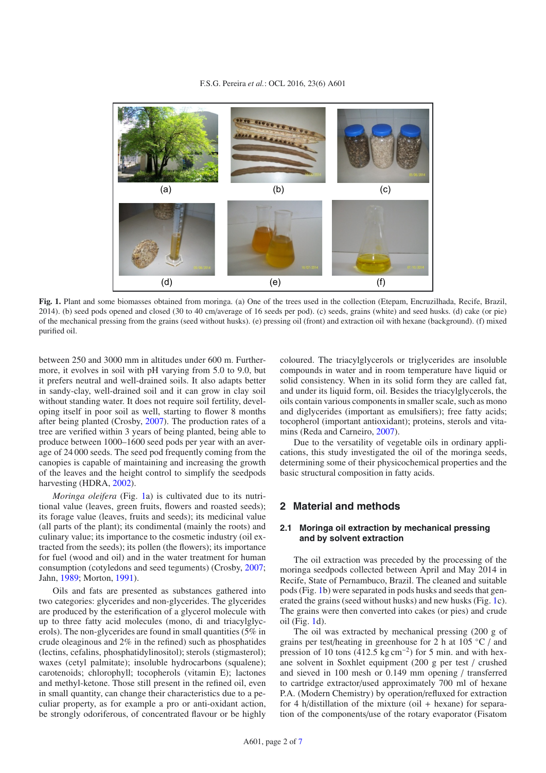#### F.S.G. Pereira *et al.*: OCL 2016, 23(6) A601

<span id="page-1-0"></span>

**Fig. 1.** Plant and some biomasses obtained from moringa. (a) One of the trees used in the collection (Etepam, Encruzilhada, Recife, Brazil, 2014). (b) seed pods opened and closed (30 to 40 cm/average of 16 seeds per pod). (c) seeds, grains (white) and seed husks. (d) cake (or pie) of the mechanical pressing from the grains (seed without husks). (e) pressing oil (front) and extraction oil with hexane (background). (f) mixed purified oil.

between 250 and 3000 mm in altitudes under 600 m. Furthermore, it evolves in soil with pH varying from 5.0 to 9.0, but it prefers neutral and well-drained soils. It also adapts better in sandy-clay, well-drained soil and it can grow in clay soil without standing water. It does not require soil fertility, developing itself in poor soil as well, starting to flower 8 months after being planted (Crosby, [2007\)](#page-5-1). The production rates of a tree are verified within 3 years of being planted, being able to produce between 1000–1600 seed pods per year with an average of 24 000 seeds. The seed pod frequently coming from the canopies is capable of maintaining and increasing the growth of the leaves and the height control to simplify the seedpods harvesting (HDRA, [2002\)](#page-6-1).

*Moringa oleifera* (Fig. [1a](#page-1-0)) is cultivated due to its nutritional value (leaves, green fruits, flowers and roasted seeds); its forage value (leaves, fruits and seeds); its medicinal value (all parts of the plant); its condimental (mainly the roots) and culinary value; its importance to the cosmetic industry (oil extracted from the seeds); its pollen (the flowers); its importance for fuel (wood and oil) and in the water treatment for human consumption (cotyledons and seed teguments) (Crosby, [2007](#page-5-1); Jahn, [1989;](#page-6-2) Morton, [1991\)](#page-6-3).

Oils and fats are presented as substances gathered into two categories: glycerides and non-glycerides. The glycerides are produced by the esterification of a glycerol molecule with up to three fatty acid molecules (mono, di and triacylglycerols). The non-glycerides are found in small quantities (5% in crude oleaginous and 2% in the refined) such as phosphatides (lectins, cefalins, phosphatidylinositol); sterols (stigmasterol); waxes (cetyl palmitate); insoluble hydrocarbons (squalene); carotenoids; chlorophyll; tocopherols (vitamin E); lactones and methyl-ketone. Those still present in the refined oil, even in small quantity, can change their characteristics due to a peculiar property, as for example a pro or anti-oxidant action, be strongly odoriferous, of concentrated flavour or be highly coloured. The triacylglycerols or triglycerides are insoluble compounds in water and in room temperature have liquid or solid consistency. When in its solid form they are called fat, and under its liquid form, oil. Besides the triacylglycerols, the oils contain various components in smaller scale, such as mono and diglycerides (important as emulsifiers); free fatty acids; tocopherol (important antioxidant); proteins, sterols and vitamins (Reda and Carneiro, [2007](#page-6-4)).

Due to the versatility of vegetable oils in ordinary applications, this study investigated the oil of the moringa seeds, determining some of their physicochemical properties and the basic structural composition in fatty acids.

### **2 Material and methods**

#### **2.1 Moringa oil extraction by mechanical pressing and by solvent extraction**

The oil extraction was preceded by the processing of the moringa seedpods collected between April and May 2014 in Recife, State of Pernambuco, Brazil. The cleaned and suitable pods (Fig. [1b](#page-1-0)) were separated in pods husks and seeds that generated the grains (seed without husks) and new husks (Fig. [1c](#page-1-0)). The grains were then converted into cakes (or pies) and crude oil (Fig. [1d](#page-1-0)).

The oil was extracted by mechanical pressing (200 g of grains per test/heating in greenhouse for 2 h at 105 ◦C / and pression of 10 tons (412.5 kg cm<sup>-2</sup>) for 5 min. and with hexane solvent in Soxhlet equipment (200 g per test / crushed and sieved in 100 mesh or 0.149 mm opening / transferred to cartridge extractor/used approximately 700 ml of hexane P.A. (Modern Chemistry) by operation/refluxed for extraction for 4 h/distillation of the mixture (oil  $+$  hexane) for separation of the components/use of the rotary evaporator (Fisatom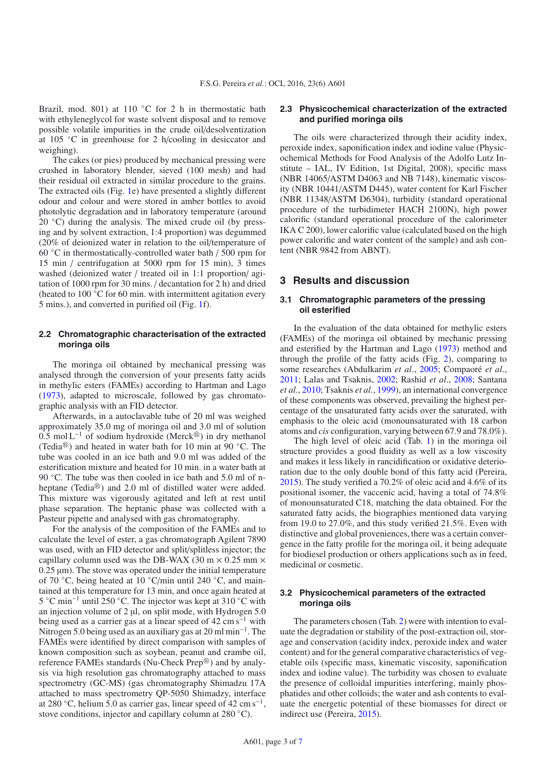Brazil, mod. 801) at 110 °C for 2 h in thermostatic bath with ethyleneglycol for waste solvent disposal and to remove possible volatile impurities in the crude oil/desolventization at 105 ◦C in greenhouse for 2 h/cooling in desiccator and weighing).

The cakes (or pies) produced by mechanical pressing were crushed in laboratory blender, sieved (100 mesh) and had their residual oil extracted in similar procedure to the grains. The extracted oils (Fig. [1e](#page-1-0)) have presented a slightly different odour and colour and were stored in amber bottles to avoid photolytic degradation and in laboratory temperature (around 20  $\degree$ C) during the analysis. The mixed crude oil (by pressing and by solvent extraction, 1:4 proportion) was degummed (20% of deionized water in relation to the oil/temperature of 60 ◦C in thermostatically-controlled water bath / 500 rpm for 15 min / centrifugation at 5000 rpm for 15 min), 3 times washed (deionized water / treated oil in 1:1 proportion/ agitation of 1000 rpm for 30 mins. / decantation for 2 h) and dried (heated to  $100\degree C$  for 60 min. with intermittent agitation every 5 mins.), and converted in purified oil (Fig. [1f](#page-1-0)).

#### **2.2 Chromatographic characterisation of the extracted moringa oils**

The moringa oil obtained by mechanical pressing was analysed through the conversion of your presents fatty acids in methylic esters (FAMEs) according to Hartman and Lago [\(1973\)](#page-6-6), adapted to microscale, followed by gas chromatographic analysis with an FID detector.

Afterwards, in a autoclavable tube of 20 ml was weighed approximately 35.0 mg of moringa oil and 3.0 ml of solution 0.5 mol L<sup>-1</sup> of sodium hydroxide (Merck<sup>®</sup>) in dry methanol (Tedia $\mathcal{B}$ ) and heated in water bath for 10 min at 90 °C. The tube was cooled in an ice bath and 9.0 ml was added of the esterification mixture and heated for 10 min. in a water bath at 90 ℃. The tube was then cooled in ice bath and 5.0 ml of nheptane (Tedia $\mathbb{B}$ ) and 2.0 ml of distilled water were added. This mixture was vigorously agitated and left at rest until phase separation. The heptanic phase was collected with a Pasteur pipette and analysed with gas chromatography.

For the analysis of the composition of the FAMEs and to calculate the level of ester, a gas chromatograph Agilent 7890 was used, with an FID detector and split/splitless injector; the capillary column used was the DB-WAX (30 m  $\times$  0.25 mm  $\times$  $0.25 \mu m$ ). The stove was operated under the initial temperature of 70 ◦C, being heated at 10 ◦C/min until 240 ◦C, and maintained at this temperature for 13 min, and once again heated at 5 ◦C min−<sup>1</sup> until 250 ◦C. The injector was kept at 310 ◦C with an injection volume of  $2 \mu l$ , on split mode, with Hydrogen 5.0 being used as a carrier gas at a linear speed of 42 cm s−<sup>1</sup> with Nitrogen 5.0 being used as an auxiliary gas at 20 ml min−1. The FAMEs were identified by direct comparison with samples of known composition such as soybean, peanut and crambe oil, reference FAMEs standards (Nu-Check Prep®) and by analysis via high resolution gas chromatography attached to mass spectrometry (GC-MS) (gas chromatography Shimadzu 17A attached to mass spectrometry QP-5050 Shimadzy, interface at 280  $\degree$ C, helium 5.0 as carrier gas, linear speed of 42 cm s<sup>-1</sup>, stove conditions, injector and capillary column at 280 °C).

#### **2.3 Physicochemical characterization of the extracted and purified moringa oils**

The oils were characterized through their acidity index, peroxide index, saponification index and iodine value (Physicochemical Methods for Food Analysis of the Adolfo Lutz Institute – IAL, IV Edition, 1st Digital, 2008), specific mass (NBR 14065/ASTM D4063 and NB 7148), kinematic viscosity (NBR 10441/ASTM D445), water content for Karl Fischer (NBR 11348/ASTM D6304), turbidity (standard operational procedure of the turbidimeter HACH 2100N), high power calorific (standard operational procedure of the calorimeter IKA C 200), lower calorific value (calculated based on the high power calorific and water content of the sample) and ash content (NBR 9842 from ABNT).

#### **3 Results and discussion**

#### **3.1 Chromatographic parameters of the pressing oil esterified**

In the evaluation of the data obtained for methylic esters (FAMEs) of the moringa oil obtained by mechanic pressing and esterified by the Hartman and Lago [\(1973\)](#page-6-6) method and through the profile of the fatty acids (Fig. [2\)](#page-3-0), comparing to some researches (Abdulkarim *et al*., [2005;](#page-5-2) Compaoré *et al*., [2011;](#page-5-3) Lalas and Tsaknis, [2002](#page-6-7); Rashid *et al*., [2008](#page-6-8); Santana *et al.*, [2010;](#page-6-9) Tsaknis *et al.*, [1999\)](#page-6-10), an international convergence of these components was observed, prevailing the highest percentage of the unsaturated fatty acids over the saturated, with emphasis to the oleic acid (monounsaturated with 18 carbon atoms and *cis* configuration, varying between 67.9 and 78.0%).

The high level of oleic acid (Tab. [1\)](#page-1-0) in the moringa oil structure provides a good fluidity as well as a low viscosity and makes it less likely in rancidification or oxidative deterioration due to the only double bond of this fatty acid (Pereira, [2015\)](#page-6-11). The study verified a 70.2% of oleic acid and 4.6% of its positional isomer, the vaccenic acid, having a total of 74.8% of monounsaturated C18, matching the data obtained. For the saturated fatty acids, the biographies mentioned data varying from 19.0 to 27.0%, and this study verified 21.5%. Even with distinctive and global proveniences, there was a certain convergence in the fatty profile for the moringa oil, it being adequate for biodiesel production or others applications such as in feed, medicinal or cosmetic.

#### **3.2 Physicochemical parameters of the extracted moringa oils**

The parameters chosen (Tab. [2\)](#page-3-1) were with intention to evaluate the degradation or stability of the post-extraction oil, storage and conservation (acidity index, peroxide index and water content) and for the general comparative characteristics of vegetable oils (specific mass, kinematic viscosity, saponification index and iodine value). The turbidity was chosen to evaluate the presence of colloidal impurities interfering, mainly phosphatides and other colloids; the water and ash contents to evaluate the energetic potential of these biomasses for direct or indirect use (Pereira, [2015\)](#page-6-11).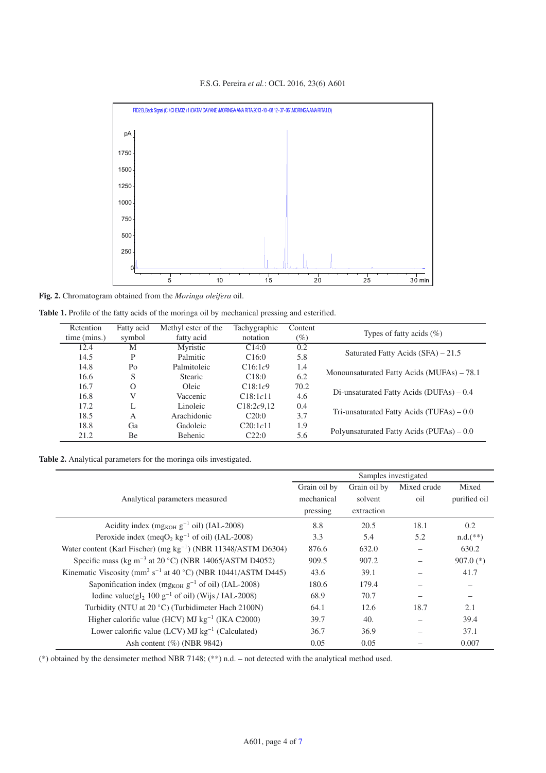F.S.G. Pereira *et al.*: OCL 2016, 23(6) A601

<span id="page-3-0"></span>

**Fig. 2.** Chromatogram obtained from the *Moringa oleifera* oil.

<span id="page-3-1"></span>

| Table 1. Profile of the fatty acids of the moringa oil by mechanical pressing and esterified. |  |  |  |  |
|-----------------------------------------------------------------------------------------------|--|--|--|--|
|-----------------------------------------------------------------------------------------------|--|--|--|--|

| Retention    | Fatty acid | Methyl ester of the | Tachygraphic | Content |                                             |
|--------------|------------|---------------------|--------------|---------|---------------------------------------------|
| time (mins.) | symbol     | fatty acid          | notation     | $(\%)$  | Types of fatty acids $(\%)$                 |
| 12.4         | M          | Myristic            | C14:0        | 0.2     |                                             |
| 14.5         | P          | Palmitic            | C16:0        | 5.8     | Saturated Fatty Acids $(SFA) - 21.5$        |
| 14.8         | Po         | Palmitoleic         | C16:1c9      | 1.4     |                                             |
| 16.6         | S          | <b>Stearic</b>      | C18:0        | 6.2     | Monounsaturated Fatty Acids (MUFAs) - 78.1  |
| 16.7         | $\Omega$   | Oleic               | C18:1c9      | 70.2    |                                             |
| 16.8         |            | Vaccenic            | C18:1c11     | 4.6     | Di-unsaturated Fatty Acids (DUFAs) – 0.4    |
| 17.2         |            | Linoleic            | C18:2c9,12   | 0.4     |                                             |
| 18.5         | A          | Arachidonic         | C20:0        | 3.7     | Tri-unsaturated Fatty Acids $(TUFAs) - 0.0$ |
| 18.8         | Ga         | Gadoleic            | C20:1c11     | 1.9     |                                             |
| 21.2         | Вe         | Behenic             | C22:0        | 5.6     | Polyunsaturated Fatty Acids (PUFAs) – 0.0   |

| Table 2. Analytical parameters for the moringa oils investigated. |  |  |  |  |
|-------------------------------------------------------------------|--|--|--|--|
|-------------------------------------------------------------------|--|--|--|--|

|                                                                                      | Samples investigated |              |             |                          |
|--------------------------------------------------------------------------------------|----------------------|--------------|-------------|--------------------------|
|                                                                                      | Grain oil by         | Grain oil by | Mixed crude | Mixed                    |
| Analytical parameters measured                                                       | mechanical           | solvent      | oil         | purified oil             |
|                                                                                      | pressing             | extraction   |             |                          |
| Acidity index (mg <sub>KOH</sub> $g^{-1}$ oil) (IAL-2008)                            | 8.8                  | 20.5         | 18.1        | 0.2                      |
| Peroxide index (meq $O_2$ kg <sup>-1</sup> of oil) (IAL-2008)                        | 3.3                  | 5.4          | 5.2         | $n.d.$ (**)              |
| Water content (Karl Fischer) (mg $kg^{-1}$ ) (NBR 11348/ASTM D6304)                  | 876.6                | 632.0        |             | 630.2                    |
| Specific mass (kg m <sup>-3</sup> at 20 °C) (NBR 14065/ASTM D4052)                   | 909.5                | 907.2        |             | $907.0$ (*)              |
| Kinematic Viscosity (mm <sup>2</sup> s <sup>-1</sup> at 40 °C) (NBR 10441/ASTM D445) | 43.6                 | 39.1         |             | 41.7                     |
| Saponification index (mg <sub>KOH</sub> $g^{-1}$ of oil) (IAL-2008)                  | 180.6                | 179.4        |             |                          |
| Iodine value( $gI_2$ 100 $g^{-1}$ of oil) (Wijs / IAL-2008)                          | 68.9                 | 70.7         | —           | $\overline{\phantom{m}}$ |
| Turbidity (NTU at 20 °C) (Turbidimeter Hach 2100N)                                   | 64.1                 | 12.6         | 18.7        | 2.1                      |
| Higher calorific value (HCV) MJ $kg^{-1}$ (IKA C2000)                                | 39.7                 | 40.          |             | 39.4                     |
| Lower calorific value (LCV) $MJ$ kg <sup>-1</sup> (Calculated)                       | 36.7                 | 36.9         |             | 37.1                     |
| Ash content $(\%)$ (NBR 9842)                                                        | 0.05                 | 0.05         |             | 0.007                    |

(\*) obtained by the densimeter method NBR 7148; (\*\*) n.d. – not detected with the analytical method used.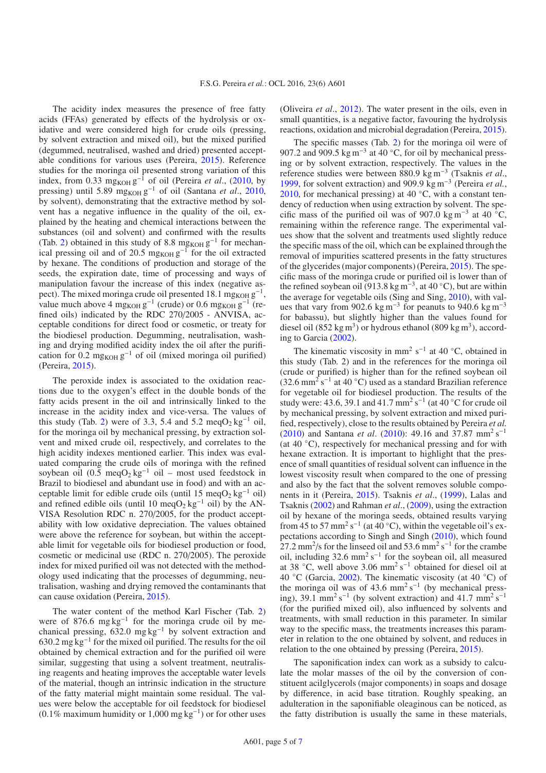The acidity index measures the presence of free fatty acids (FFAs) generated by effects of the hydrolysis or oxidative and were considered high for crude oils (pressing, by solvent extraction and mixed oil), but the mixed purified (degummed, neutralised, washed and dried) presented acceptable conditions for various uses (Pereira, [2015](#page-6-11)). Reference studies for the moringa oil presented strong variation of this index, from 0.33 mg<sub>KOH</sub> g<sup>-1</sup> of oil (Pereira *et al.*, [\(2010,](#page-6-12) by pressing) until 5.89 mg<sub>KOH</sub> g<sup>-1</sup> of oil (Santana *et al.*, [2010,](#page-6-9) by solvent), demonstrating that the extractive method by solvent has a negative influence in the quality of the oil, explained by the heating and chemical interactions between the substances (oil and solvent) and confirmed with the results (Tab. [2\)](#page-3-1) obtained in this study of 8.8 mg<sub>KOH</sub>  $g^{-1}$  for mechanical pressing oil and of 20.5 mg<sub>KOH</sub>  $g^{-1}$  for the oil extracted by hexane. The conditions of production and storage of the seeds, the expiration date, time of processing and ways of manipulation favour the increase of this index (negative aspect). The mixed moringa crude oil presented 18.1 mg<sub>KOH</sub>  $g^{-1}$ , value much above 4 mg<sub>KOH</sub> g<sup>-1</sup> (crude) or 0.6 mg<sub>KOH</sub> g<sup>-1</sup> (refined oils) indicated by the RDC 270/2005 - ANVISA, acceptable conditions for direct food or cosmetic, or treaty for the biodiesel production. Degumming, neutralisation, washing and drying modified acidity index the oil after the purification for  $0.2 \text{ mg}$ <sub>KOH</sub>  $g^{-1}$  of oil (mixed moringa oil purified) (Pereira, [2015](#page-6-11)).

The peroxide index is associated to the oxidation reactions due to the oxygen's effect in the double bonds of the fatty acids present in the oil and intrinsically linked to the increase in the acidity index and vice-versa. The values of this study (Tab. [2\)](#page-3-1) were of 3.3, 5.4 and 5.2 meqO<sub>2</sub> kg<sup>-1</sup> oil, for the moringa oil by mechanical pressing, by extraction solvent and mixed crude oil, respectively, and correlates to the high acidity indexes mentioned earlier. This index was evaluated comparing the crude oils of moringa with the refined soybean oil (0.5 meqO<sub>2</sub> kg<sup>-1</sup> oil – most used feedstock in Brazil to biodiesel and abundant use in food) and with an acceptable limit for edible crude oils (until 15 meq $O_2$  kg<sup>-1</sup> oil) and refined edible oils (until 10 meqO<sub>2</sub> kg<sup>-1</sup> oil) by the AN-VISA Resolution RDC n. 270/2005, for the product acceptability with low oxidative depreciation. The values obtained were above the reference for soybean, but within the acceptable limit for vegetable oils for biodiesel production or food, cosmetic or medicinal use (RDC n. 270/2005). The peroxide index for mixed purified oil was not detected with the methodology used indicating that the processes of degumming, neutralisation, washing and drying removed the contaminants that can cause oxidation (Pereira, [2015\)](#page-6-11).

The water content of the method Karl Fischer (Tab. [2\)](#page-3-1) were of 876.6 mg kg<sup>-1</sup> for the moringa crude oil by mechanical pressing, 632.0 mg kg−<sup>1</sup> by solvent extraction and 630.2 mg kg−<sup>1</sup> for the mixed oil purified. The results for the oil obtained by chemical extraction and for the purified oil were similar, suggesting that using a solvent treatment, neutralising reagents and heating improves the acceptable water levels of the material, though an intrinsic indication in the structure of the fatty material might maintain some residual. The values were below the acceptable for oil feedstock for biodiesel (0.1% maximum humidity or 1,000 mg kg−1) or for other uses

(Oliveira *et al*., [2012\)](#page-6-13). The water present in the oils, even in small quantities, is a negative factor, favouring the hydrolysis reactions, oxidation and microbial degradation (Pereira, [2015\)](#page-6-11).

The specific masses (Tab. [2\)](#page-3-1) for the moringa oil were of 907.2 and 909.5 kg m<sup>-3</sup> at 40 °C, for oil by mechanical pressing or by solvent extraction, respectively. The values in the reference studies were between 880.9 kg m−<sup>3</sup> (Tsaknis *et al*., [1999,](#page-6-10) for solvent extraction) and 909.9 kg m−<sup>3</sup> (Pereira *et al.*, [2010,](#page-6-12) for mechanical pressing) at 40  $°C$ , with a constant tendency of reduction when using extraction by solvent. The specific mass of the purified oil was of 907.0 kg m<sup>-3</sup> at 40 °C, remaining within the reference range. The experimental values show that the solvent and treatments used slightly reduce the specific mass of the oil, which can be explained through the removal of impurities scattered presents in the fatty structures of the glycerides (major components) (Pereira, [2015\)](#page-6-11). The specific mass of the moringa crude or purified oil is lower than of the refined soybean oil (913.8 kg m<sup>-3</sup>, at 40 °C), but are within the average for vegetable oils (Sing and Sing, [2010\)](#page-6-14), with values that vary from 902.6 kg m<sup>-3</sup> for peanuts to 940.6 kg m<sup>-3</sup> for babassu), but slightly higher than the values found for diesel oil (852 kg m<sup>3</sup>) or hydrous ethanol (809 kg m<sup>3</sup>), according to Garcia [\(2002](#page-6-15)).

The kinematic viscosity in mm<sup>2</sup> s<sup>-1</sup> at 40 °C, obtained in this study (Tab. 2) and in the references for the moringa oil (crude or purified) is higher than for the refined soybean oil  $(32.6 \text{ mm}^2 \text{ s}^{-1}$  at 40 °C) used as a standard Brazilian reference for vegetable oil for biodiesel production. The results of the study were: 43.6, 39.1 and 41.7 mm<sup>2</sup> s<sup>-1</sup> (at 40 °C for crude oil by mechanical pressing, by solvent extraction and mixed purified, respectively), close to the results obtained by Pereira *et al.* [\(2010\)](#page-6-12) and Santana *et al*. [\(2010\)](#page-6-9): 49.16 and 37.87 mm<sup>2</sup> s−<sup>1</sup> (at  $40\textdegree$ C), respectively for mechanical pressing and for with hexane extraction. It is important to highlight that the presence of small quantities of residual solvent can influence in the lowest viscosity result when compared to the one of pressing and also by the fact that the solvent removes soluble components in it (Pereira, [2015\)](#page-6-11). Tsaknis *et al*., [\(1999\)](#page-6-10), Lalas and Tsaknis [\(2002\)](#page-6-7) and Rahman *et al*., [\(2009\)](#page-6-16), using the extraction oil by hexane of the moringa seeds, obtained results varying from 45 to 57 mm<sup>2</sup> s<sup>-1</sup> (at 40 °C), within the vegetable oil's expectations according to Singh and Singh [\(2010\)](#page-6-14), which found 27.2 mm<sup>2</sup>/s for the linseed oil and 53.6 mm<sup>2</sup> s<sup>-1</sup> for the crambe oil, including  $32.6 \text{ mm}^2 \text{ s}^{-1}$  for the soybean oil, all measured at 38 ◦C, well above 3.06 mm<sup>2</sup> s−<sup>1</sup> obtained for diesel oil at 40 °C (Garcia, [2002](#page-6-15)). The kinematic viscosity (at 40 °C) of the moringa oil was of 43.6 mm<sup>2</sup> s<sup>-1</sup> (by mechanical pressing), 39.1 mm<sup>2</sup> s<sup>-1</sup> (by solvent extraction) and 41.7 mm<sup>2</sup> s<sup>-1</sup> (for the purified mixed oil), also influenced by solvents and treatments, with small reduction in this parameter. In similar way to the specific mass, the treatments increases this parameter in relation to the one obtained by solvent, and reduces in relation to the one obtained by pressing (Pereira, [2015\)](#page-6-11).

The saponification index can work as a subsidy to calculate the molar masses of the oil by the conversion of constituent acilglycerols (major components) in soaps and dosage by difference, in acid base titration. Roughly speaking, an adulteration in the saponifiable oleaginous can be noticed, as the fatty distribution is usually the same in these materials,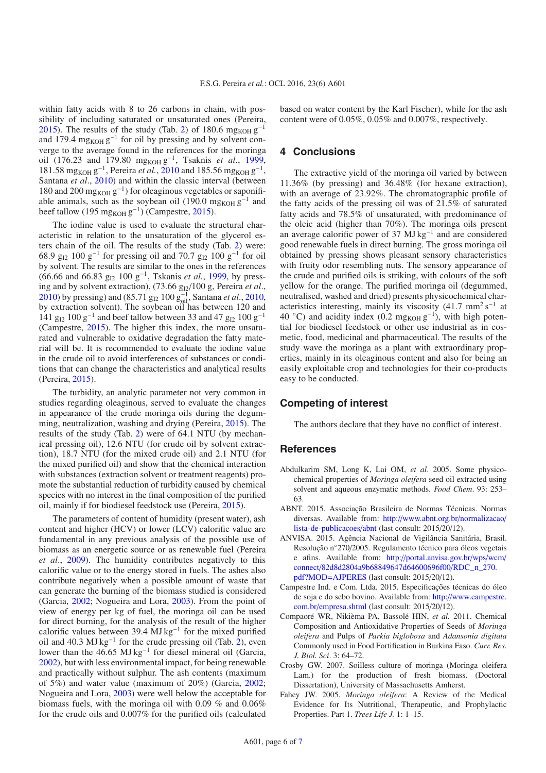within fatty acids with 8 to 26 carbons in chain, with possibility of including saturated or unsaturated ones (Pereira, [2015\)](#page-6-11). The results of the study (Tab. [2\)](#page-3-1) of 180.6 mg<sub>KOH</sub>  $g^{-1}$ and 179.4 mg<sub>KOH</sub>  $g^{-1}$  for oil by pressing and by solvent converge to the average found in the references for the moringa oil (176.23 and 179.80 mg<sub>KOH</sub> g<sup>-1</sup>, Tsaknis *et al.*, [1999,](#page-6-10) 181.58 mg<sub>KOH</sub> g<sup>-1</sup>, Pereira *et al.*, [2010](#page-6-12) and 185.56 mg<sub>KOH</sub> g<sup>-1</sup>, Santana *et al*., [2010](#page-6-9)) and within the classic interval (between 180 and 200 mg<sub>KOH</sub>  $g^{-1}$ ) for oleaginous vegetables or saponifiable animals, such as the soybean oil (190.0 mg<sub>KOH</sub>  $g^{-1}$  and beef tallow (195 mg<sub>KOH</sub> g<sup>-1</sup>) (Campestre, [2015\)](#page-5-4).

The iodine value is used to evaluate the structural characteristic in relation to the unsaturation of the glycerol esters chain of the oil. The results of the study (Tab. [2\)](#page-3-1) were: 68.9  $g_{12}$  100  $g^{-1}$  for pressing oil and 70.7  $g_{12}$  100  $g^{-1}$  for oil by solvent. The results are similar to the ones in the references (66.66 and 66.83 g<sub>I2</sub> 100 g<sup>-1</sup>, Tskanis *et al.*, [1999](#page-6-10), by pressing and by solvent extraction), (73.66 g<sub>I2</sub>/100 g, Pereira et al., [2010\)](#page-6-12) by pressing) and (85.71 g<sub>I2</sub> 100 g<sub>oil</sub>, Santana *et al.*, [2010,](#page-6-9) by extraction solvent). The soybean oil has between 120 and 141  $g_{I2}$  100  $g^{-1}$  and beef tallow between 33 and 47  $g_{I2}$  100  $g^{-1}$ (Campestre, [2015\)](#page-5-4). The higher this index, the more unsaturated and vulnerable to oxidative degradation the fatty material will be. It is recommended to evaluate the iodine value in the crude oil to avoid interferences of substances or conditions that can change the characteristics and analytical results (Pereira, [2015\)](#page-6-11).

The turbidity, an analytic parameter not very common in studies regarding oleaginous, served to evaluate the changes in appearance of the crude moringa oils during the degumming, neutralization, washing and drying (Pereira, [2015\)](#page-6-11). The results of the study (Tab. [2\)](#page-3-1) were of 64.1 NTU (by mechanical pressing oil), 12.6 NTU (for crude oil by solvent extraction), 18.7 NTU (for the mixed crude oil) and 2.1 NTU (for the mixed purified oil) and show that the chemical interaction with substances (extraction solvent or treatment reagents) promote the substantial reduction of turbidity caused by chemical species with no interest in the final composition of the purified oil, mainly if for biodiesel feedstock use (Pereira, [2015](#page-6-11)).

The parameters of content of humidity (present water), ash content and higher (HCV) or lower (LCV) calorific value are fundamental in any previous analysis of the possible use of biomass as an energetic source or as renewable fuel (Pereira *et al*., [2009](#page-6-17)). The humidity contributes negatively to this calorific value or to the energy stored in fuels. The ashes also contribute negatively when a possible amount of waste that can generate the burning of the biomass studied is considered (Garcia, [2002;](#page-6-15) Nogueira and Lora, [2003\)](#page-6-18). From the point of view of energy per kg of fuel, the moringa oil can be used for direct burning, for the analysis of the result of the higher calorific values between 39.4 MJ kg−<sup>1</sup> for the mixed purified oil and 40.3 MJ kg−<sup>1</sup> for the crude pressing oil (Tab. [2\)](#page-3-1), even lower than the 46.65 MJ kg−<sup>1</sup> for diesel mineral oil (Garcia, [2002\)](#page-6-15), but with less environmental impact, for being renewable and practically without sulphur. The ash contents (maximum of 5%) and water value (maximum of 20%) (Garcia, [2002](#page-6-15); Nogueira and Lora, [2003\)](#page-6-18) were well below the acceptable for biomass fuels, with the moringa oil with 0.09 % and 0.06% for the crude oils and 0.007% for the purified oils (calculated based on water content by the Karl Fischer), while for the ash content were of 0.05%, 0.05% and 0.007%, respectively.

## **4 Conclusions**

The extractive yield of the moringa oil varied by between 11.36% (by pressing) and 36.48% (for hexane extraction), with an average of 23.92%. The chromatographic profile of the fatty acids of the pressing oil was of 21.5% of saturated fatty acids and 78.5% of unsaturated, with predominance of the oleic acid (higher than 70%). The moringa oils present an average calorific power of 37 MJ kg−<sup>1</sup> and are considered good renewable fuels in direct burning. The gross moringa oil obtained by pressing shows pleasant sensory characteristics with fruity odor resembling nuts. The sensory appearance of the crude and purified oils is striking, with colours of the soft yellow for the orange. The purified moringa oil (degummed, neutralised, washed and dried) presents physicochemical characteristics interesting, mainly its viscosity  $(41.7 \text{ mm}^2 \text{ s}^{-1})$  at 40 °C) and acidity index (0.2 mg<sub>KOH</sub>  $g^{-1}$ ), with high potential for biodiesel feedstock or other use industrial as in cosmetic, food, medicinal and pharmaceutical. The results of the study wave the moringa as a plant with extraordinary properties, mainly in its oleaginous content and also for being an easily exploitable crop and technologies for their co-products easy to be conducted.

#### **Competing of interest**

The authors declare that they have no conflict of interest.

#### **References**

- <span id="page-5-2"></span>Abdulkarim SM, Long K, Lai OM, *et al*. 2005. Some physicochemical properties of *Moringa oleifera* seed oil extracted using solvent and aqueous enzymatic methods. *Food Chem*. 93: 253– 63.
- ABNT. 2015. Associação Brasileira de Normas Técnicas. Normas diversas. Available from: http://[www.abnt.org.br](http://www.abnt.org.br/normalizacao/lista-de-publicacoes/abnt)/normalizacao/ [lista-de-publicacoes](http://www.abnt.org.br/normalizacao/lista-de-publicacoes/abnt)/abnt (last consult: 2015/20/12).
- ANVISA. 2015. Agência Nacional de Vigilância Sanitária, Brasil. Resolução n◦270/2005. Regulamento técnico para óleos vegetais e afins. Available from: http://[portal.anvisa.gov.br](http://portal.anvisa.gov.br/wps/wcm/connect/82d8d2804a9b68849647d64600696f00/RDC_n_270.pdf?MOD=AJPERES)/wps/wcm/ connect/[82d8d2804a9b68849647d64600696f00](http://portal.anvisa.gov.br/wps/wcm/connect/82d8d2804a9b68849647d64600696f00/RDC_n_270.pdf?MOD=AJPERES)/RDC\_n\_270. pdf?MOD=[AJPERES](http://portal.anvisa.gov.br/wps/wcm/connect/82d8d2804a9b68849647d64600696f00/RDC_n_270.pdf?MOD=AJPERES) (last consult: 2015/20/12).
- <span id="page-5-4"></span>Campestre Ind. e Com. Ltda. 2015. Especificações técnicas do óleo de soja e do sebo bovino. Available from: http://[www.campestre.](http://www.campestre.com.br/empresa.shtml) com.br/[empresa.shtml](http://www.campestre.com.br/empresa.shtml) (last consult: 2015/20/12).
- <span id="page-5-3"></span>Compaoré WR, Nikièma PA, Bassolé HIN, *et al.* 2011. Chemical Composition and Antioxidative Properties of Seeds of *Moringa oleifera* and Pulps of *Parkia biglobosa* and *Adansonia digitata* Commonly used in Food Fortification in Burkina Faso. *Curr. Res. J. Biol. Sci*. 3: 64–72.
- <span id="page-5-1"></span>Crosby GW. 2007. Soilless culture of moringa (Moringa oleifera Lam.) for the production of fresh biomass. (Doctoral Dissertation), University of Massachusetts Amherst.
- <span id="page-5-0"></span>Fahey JW. 2005. *Moringa oleifera*: A Review of the Medical Evidence for Its Nutritional, Therapeutic, and Prophylactic Properties. Part 1. *Trees Life J.* 1: 1–15.